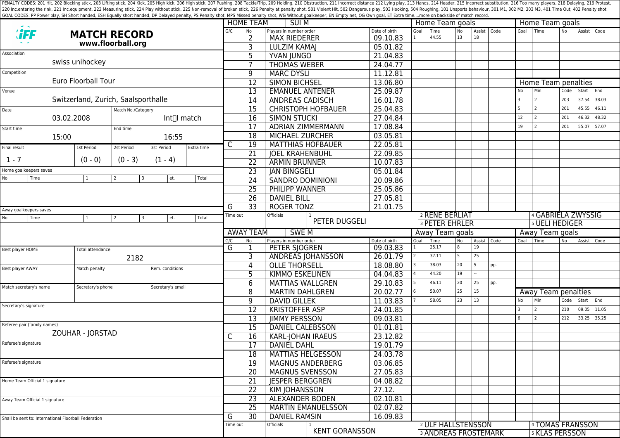PENALTY CODES: 201 Hit, 202 Blocking stick, 203 Lifting stick, 204 Kick, 204 Kick, 205 High kick, 204 Kick, 205 High kick, 206 High stick, 206 High stick, 206 High stick, 206 High stick, 207 Pushing, 208 Tackle/Trip, 209 H 220 Inc.entering the rink, 221 Inc.equipment, 222 Measuring stick, 224 Play without stick, 225 Non-removal of broken stick, 225 Poralty shot, 501 Violent Hit, 502 Dangerous play, 503 Hooking, 504 Roughing, 101 Unsports.beh GOAL CODES: PP Power play, SH Short handed, ESH Equally short handed, DP Delayed penalty, PS Penalty shot, MPS Missed penalty shot, WG Without goalkeeper, EN Empty net, OG Own goal, ET Extra time....more on backside of mat

|                                                                   |                             |                         |                                     |                   |                 |                        | <b>HOME TEAM</b>          | SUI M                                          |                           |               | Home Team goals                    |                             |          |                               |     | Home Team goals |                     |                       |             |       |  |  |
|-------------------------------------------------------------------|-----------------------------|-------------------------|-------------------------------------|-------------------|-----------------|------------------------|---------------------------|------------------------------------------------|---------------------------|---------------|------------------------------------|-----------------------------|----------|-------------------------------|-----|-----------------|---------------------|-----------------------|-------------|-------|--|--|
|                                                                   |                             |                         | <b>MATCH RECORD</b>                 |                   |                 | G/C                    | No.                       | Players in number order<br><b>MAX RIEDERER</b> |                           | Date of birth | Goal                               | Time<br>44.55               | No<br>13 | Assist   Code<br>18           |     |                 | Goal Time           | N <sub>o</sub>        | Assist Code |       |  |  |
| www.floorball.org                                                 |                             |                         |                                     |                   |                 | $\overline{2}$<br>3    | <b>LULZIM KAMAJ</b>       |                                                | 09.10.83<br>05.01.82      |               |                                    |                             |          |                               |     |                 |                     |                       |             |       |  |  |
| Association                                                       |                             |                         |                                     |                   |                 |                        |                           |                                                |                           |               |                                    |                             |          |                               |     |                 |                     |                       |             |       |  |  |
|                                                                   |                             | swiss unihockey         |                                     |                   |                 |                        | 5                         | YVAN JUNGO                                     |                           | 21.04.83      |                                    |                             |          |                               |     |                 |                     |                       |             |       |  |  |
| Competition                                                       |                             |                         |                                     |                   |                 |                        | 7                         | <b>THOMAS WEBER</b>                            |                           | 24.04.77      |                                    |                             |          |                               |     |                 |                     |                       |             |       |  |  |
|                                                                   |                             | Euro Floorball Tour     |                                     |                   |                 |                        | 9                         | <b>MARC DYSLI</b>                              |                           | 11.12.81      |                                    |                             |          |                               |     |                 |                     |                       |             |       |  |  |
|                                                                   |                             |                         |                                     |                   |                 |                        | 12                        | <b>SIMON BICHSEL</b><br><b>EMANUEL ANTENER</b> |                           | 13.06.80      |                                    |                             |          |                               |     |                 |                     | Home Team penalties   |             |       |  |  |
| Venue                                                             |                             |                         |                                     |                   |                 |                        | 13                        |                                                |                           | 25.09.87      |                                    |                             |          |                               |     | No              | Min                 | Code                  | Start       | End   |  |  |
|                                                                   |                             |                         | Switzerland, Zurich, Saalsporthalle |                   |                 |                        | $\overline{14}$           | <b>ANDREAS CADISCH</b>                         |                           | 16.01.78      |                                    |                             |          |                               |     | 3               | 2                   | 203                   | 37.54       | 38.03 |  |  |
| Date<br>Match No./Category                                        |                             |                         |                                     |                   |                 |                        | $\overline{15}$           |                                                | <b>CHRISTOPH HOFBAUER</b> | 25.04.83      |                                    |                             |          |                               |     | -5              | $\overline{2}$      | 201                   | 45.55       | 46.11 |  |  |
| 03.02.2008<br>Int∏l match                                         |                             |                         |                                     |                   |                 | 16                     | <b>SIMON STUCKI</b>       |                                                | 27.04.84                  |               |                                    |                             |          |                               | 12  | 2               | 201                 | 46.32                 | 48.32       |       |  |  |
| Start time                                                        |                             |                         | End time                            |                   |                 |                        | 17                        |                                                | <b>ADRIAN ZIMMERMANN</b>  | 17.08.84      |                                    |                             |          |                               |     | 19              | $\overline{2}$      | 201                   | 55.07       | 57.07 |  |  |
| 15:00<br>16:55                                                    |                             |                         |                                     |                   | $\overline{18}$ | <b>MICHAEL ZURCHER</b> |                           | 03.05.81                                       |                           |               |                                    |                             |          |                               |     |                 |                     |                       |             |       |  |  |
| Final result                                                      |                             | 1st Period              | 2st Period                          | 3st Period        | Extra time      | C                      | 19                        | <b>MATTHIAS HOFBAUER</b>                       |                           | 22.05.81      |                                    |                             |          |                               |     |                 |                     |                       |             |       |  |  |
|                                                                   |                             |                         |                                     |                   |                 |                        | 21                        | <b>JOEL KRAHENBUHL</b>                         |                           | 22.09.85      |                                    |                             |          |                               |     |                 |                     |                       |             |       |  |  |
| $1 - 7$                                                           |                             | $(0 - 0)$               | $(0 - 3)$                           | $(1 - 4)$         |                 |                        | 22                        | <b>ARMIN BRUNNER</b>                           |                           | 10.07.83      |                                    |                             |          |                               |     |                 |                     |                       |             |       |  |  |
| Home goalkeepers saves                                            |                             |                         |                                     |                   |                 |                        | 23                        | <b>JAN BINGGELI</b>                            |                           | 05.01.84      |                                    |                             |          |                               |     |                 |                     |                       |             |       |  |  |
| No                                                                | Time<br>$\mathbf{1}$        |                         | 2<br>3                              | et.               | Total           |                        | 24                        | <b>SANDRO DOMINIONI</b>                        |                           | 20.09.86      |                                    |                             |          |                               |     |                 |                     |                       |             |       |  |  |
|                                                                   |                             |                         |                                     |                   |                 |                        | 25                        | PHILIPP WANNER                                 |                           | 25.05.86      |                                    |                             |          |                               |     |                 |                     |                       |             |       |  |  |
|                                                                   |                             |                         |                                     |                   |                 |                        | 26                        | <b>DANIEL BILL</b>                             |                           | 27.05.81      |                                    |                             |          |                               |     |                 |                     |                       |             |       |  |  |
|                                                                   | Away goalkeepers saves      |                         |                                     |                   |                 | G                      | 33                        | <b>ROGER TONZ</b>                              |                           | 21.01.75      |                                    |                             |          |                               |     |                 |                     |                       |             |       |  |  |
| et.<br>Total<br>Time<br>$\mathbf{1}$<br>No<br>$\overline{2}$<br>3 |                             |                         |                                     | Time out          |                 | Officials              |                           |                                                | 2 RENE BERLIAT            |               |                                    |                             |          | <sup>4</sup> GABRIELA ZWYSSIG |     |                 |                     |                       |             |       |  |  |
|                                                                   |                             |                         |                                     |                   |                 |                        |                           | PETER DUGGELI                                  |                           |               | <b>3 PETER EHRLER</b>              |                             |          |                               |     |                 | 5 UELI HEDIGER      |                       |             |       |  |  |
|                                                                   |                             |                         |                                     |                   |                 |                        | <b>AWAY TEAM</b><br>SWE M |                                                |                           |               | Away Team goals<br>Away Team goals |                             |          |                               |     |                 |                     |                       |             |       |  |  |
|                                                                   |                             |                         |                                     |                   |                 | G/C<br>No.<br>G        |                           | Players in number order<br>PETER SJOGREN       |                           | Date of birth | Goal                               | Time<br>25.17               | No<br>8  | Assist   Code<br>19           |     |                 | Goal Time           | No.                   | Assist Code |       |  |  |
| Best player HOME                                                  |                             | <b>Total attendance</b> |                                     |                   |                 |                        | 1                         |                                                |                           | 09.03.83      |                                    | 37.11                       | 5        | 25                            |     |                 |                     |                       |             |       |  |  |
|                                                                   |                             | 2182                    |                                     |                   |                 |                        | 3                         |                                                | ANDREAS JOHANSSON         | 26.01.79      |                                    |                             |          | 5                             |     |                 |                     |                       |             |       |  |  |
| Best player AWAY                                                  |                             | Match penalty           |                                     | Rem. conditions   |                 |                        | 4                         | <b>OLLE THORSELL</b>                           |                           | 18.08.80      |                                    | 38.03                       | 20       |                               | pp. |                 |                     |                       |             |       |  |  |
|                                                                   |                             |                         |                                     |                   |                 |                        | 5                         | <b>KIMMO ESKELINEN</b>                         |                           | 04.04.83      |                                    | 44.20                       | 19       |                               |     |                 |                     |                       |             |       |  |  |
| Match secretary's name                                            |                             | Secretary's phone       |                                     | Secretary's email |                 |                        | 6                         | <b>MATTIAS WALLGREN</b>                        |                           | 29.10.83      |                                    | 46.11                       | 20       | 25                            | pp. |                 |                     |                       |             |       |  |  |
|                                                                   |                             |                         |                                     |                   |                 |                        | 8                         | <b>MARTIN DAHLGREN</b>                         |                           | 20.02.77      |                                    | 50.07                       | 25       | 15                            |     |                 | Away Team penalties |                       |             |       |  |  |
| Secretary's signature                                             |                             |                         |                                     |                   | 9               | <b>DAVID GILLEK</b>    |                           | 11.03.83                                       |                           | 58.05         | 23                                 | 13                          |          | No                            | Min | Code            | Start End           |                       |             |       |  |  |
|                                                                   |                             |                         |                                     |                   |                 |                        | $\overline{12}$           | <b>KRISTOFFER ASP</b>                          |                           | 24.01.85      |                                    |                             |          |                               |     | l 3             | $\overline{2}$      | 210                   | 09.05       | 11.05 |  |  |
|                                                                   | Referee pair (family names) |                         |                                     |                   |                 |                        | 13                        | <b>JIMMY PERSSON</b>                           |                           | 09.03.81      |                                    |                             |          |                               |     | $6\overline{6}$ | $\overline{2}$      | 212                   | 33.25 35.25 |       |  |  |
|                                                                   |                             | ZOUHAR - JORSTAD        |                                     |                   |                 | C                      | 15                        | <b>DANIEL CALEBSSON</b>                        |                           | 01.01.81      |                                    |                             |          |                               |     |                 |                     |                       |             |       |  |  |
|                                                                   |                             |                         |                                     |                   |                 |                        | 16                        | KARL-JOHAN IRAEUS                              |                           | 23.12.82      |                                    |                             |          |                               |     |                 |                     |                       |             |       |  |  |
| Referee's signature                                               |                             |                         |                                     |                   |                 |                        | 17                        | <b>DANIEL DAHL</b>                             |                           | 19.01.79      |                                    |                             |          |                               |     |                 |                     |                       |             |       |  |  |
|                                                                   |                             |                         |                                     |                   |                 |                        | 18                        | <b>MATTIAS HELGESSON</b>                       |                           | 24.03.78      |                                    |                             |          |                               |     |                 |                     |                       |             |       |  |  |
| Referee's signature                                               |                             |                         |                                     |                   |                 |                        | 19                        |                                                | <b>MAGNUS ANDERBERG</b>   | 03.06.85      |                                    |                             |          |                               |     |                 |                     |                       |             |       |  |  |
|                                                                   |                             |                         |                                     |                   |                 |                        | 20                        | <b>MAGNUS SVENSSON</b>                         |                           | 27.05.83      |                                    |                             |          |                               |     |                 |                     |                       |             |       |  |  |
| Home Team Official 1 signature                                    |                             |                         |                                     |                   |                 |                        | 21                        | <b>JESPER BERGGREN</b>                         |                           | 04.08.82      |                                    |                             |          |                               |     |                 |                     |                       |             |       |  |  |
|                                                                   |                             |                         |                                     |                   |                 |                        | 22                        | <b>KIM JOHANSSON</b>                           |                           | 27.12.        |                                    |                             |          |                               |     |                 |                     |                       |             |       |  |  |
| Away Team Official 1 signature                                    |                             |                         |                                     |                   |                 | $\overline{23}$        | <b>ALEXANDER BODEN</b>    |                                                | 02.10.81                  |               |                                    |                             |          |                               |     |                 |                     |                       |             |       |  |  |
|                                                                   |                             |                         |                                     |                   | 25              |                        | <b>MARTIN EMANUELSSON</b> | 02.07.82                                       |                           |               |                                    |                             |          |                               |     |                 |                     |                       |             |       |  |  |
| Shall be sent to: International Floorball Federation              |                             |                         |                                     |                   |                 |                        | 30                        | <b>DANIEL RAMSIN</b>                           |                           | 16.09.83      |                                    |                             |          |                               |     |                 |                     |                       |             |       |  |  |
|                                                                   |                             |                         |                                     |                   |                 |                        | Time out                  | <b>Officials</b>                               |                           |               | <sup>2</sup> ULF HALLSTENSSON      |                             |          |                               |     |                 | 4 TOMAS FRANSSON    |                       |             |       |  |  |
|                                                                   |                             |                         |                                     |                   |                 |                        |                           | <b>KENT GORANSSON</b>                          |                           |               |                                    | <b>3 ANDREAS FROSTEMARK</b> |          |                               |     |                 |                     | <b>5 KLAS PERSSON</b> |             |       |  |  |